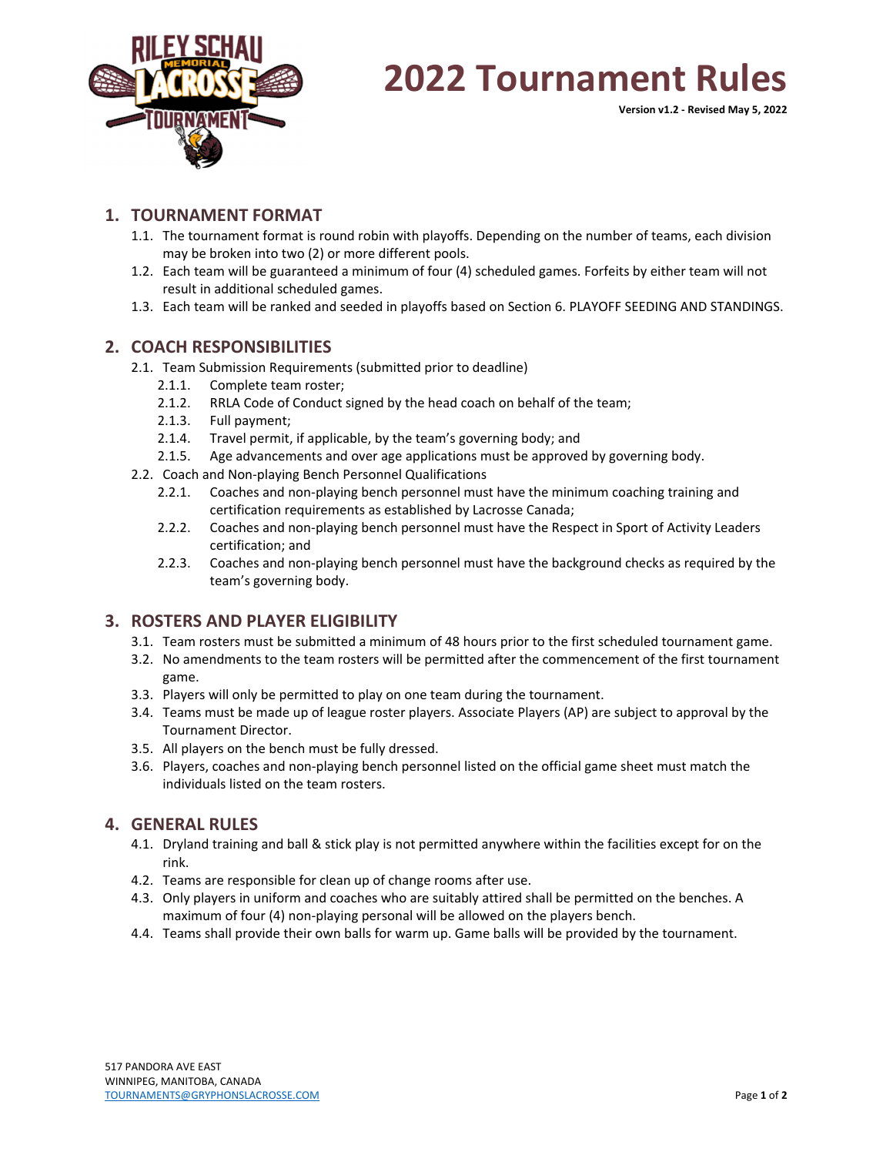

## **2022 Tournament Rules**

**Version v1.2 ‐ Revised May 5, 2022**

### **1. TOURNAMENT FORMAT**

- 1.1. The tournament format is round robin with playoffs. Depending on the number of teams, each division may be broken into two (2) or more different pools.
- 1.2. Each team will be guaranteed a minimum of four (4) scheduled games. Forfeits by either team will not result in additional scheduled games.
- 1.3. Each team will be ranked and seeded in playoffs based on Section 6. PLAYOFF SEEDING AND STANDINGS.

### **2. COACH RESPONSIBILITIES**

- 2.1. Team Submission Requirements (submitted prior to deadline)
	- 2.1.1. Complete team roster;
	- 2.1.2. RRLA Code of Conduct signed by the head coach on behalf of the team;
	- 2.1.3. Full payment;
	- 2.1.4. Travel permit, if applicable, by the team's governing body; and
	- 2.1.5. Age advancements and over age applications must be approved by governing body.
- 2.2. Coach and Non‐playing Bench Personnel Qualifications
	- 2.2.1. Coaches and non‐playing bench personnel must have the minimum coaching training and certification requirements as established by Lacrosse Canada;
	- 2.2.2. Coaches and non-playing bench personnel must have the Respect in Sport of Activity Leaders certification; and
	- 2.2.3. Coaches and non‐playing bench personnel must have the background checks as required by the team's governing body.

### **3. ROSTERS AND PLAYER ELIGIBILITY**

- 3.1. Team rosters must be submitted a minimum of 48 hours prior to the first scheduled tournament game.
- 3.2. No amendments to the team rosters will be permitted after the commencement of the first tournament game.
- 3.3. Players will only be permitted to play on one team during the tournament.
- 3.4. Teams must be made up of league roster players. Associate Players (AP) are subject to approval by the Tournament Director.
- 3.5. All players on the bench must be fully dressed.
- 3.6. Players, coaches and non‐playing bench personnel listed on the official game sheet must match the individuals listed on the team rosters.

### **4. GENERAL RULES**

- 4.1. Dryland training and ball & stick play is not permitted anywhere within the facilities except for on the rink.
- 4.2. Teams are responsible for clean up of change rooms after use.
- 4.3. Only players in uniform and coaches who are suitably attired shall be permitted on the benches. A maximum of four (4) non‐playing personal will be allowed on the players bench.
- 4.4. Teams shall provide their own balls for warm up. Game balls will be provided by the tournament.